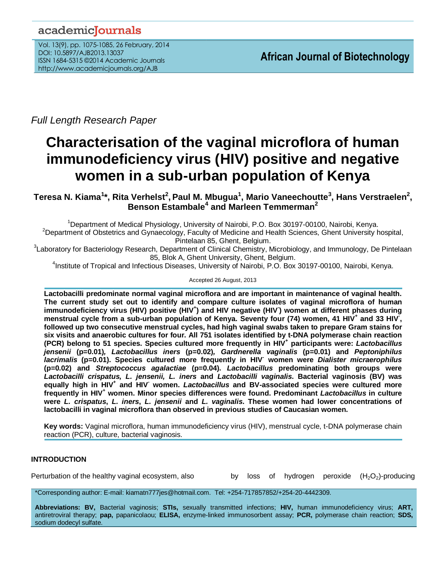# academicJournals

Vol. 13(9), pp. 1075-1085, 26 February, 2014 DOI: 10.5897/AJB2013.13037 ISSN 1684-5315 ©2014 Academic Journals http://www.academicjournals.org/AJB

*Full Length Research Paper*

# **Characterisation of the vaginal microflora of human immunodeficiency virus (HIV) positive and negative women in a sub-urban population of Kenya**

**Teresa N. Kiama<sup>1</sup> \*, Rita Verhelst<sup>2</sup> , Paul M. Mbugua<sup>1</sup> , Mario Vaneechoutte<sup>3</sup> , Hans Verstraelen<sup>2</sup> , Benson Estambale<sup>4</sup> and Marleen Temmerman<sup>2</sup>**

<sup>1</sup>Department of Medical Physiology, University of Nairobi, P.O. Box 30197-00100, Nairobi, Kenya. <sup>2</sup>Department of Obstetrics and Gynaecology, Faculty of Medicine and Health Sciences, Ghent University hospital, Pintelaan 85, Ghent, Belgium.

<sup>3</sup>Laboratory for Bacteriology Research, Department of Clinical Chemistry, Microbiology, and Immunology, De Pintelaan 85, Blok A, Ghent University, Ghent, Belgium.

4 Institute of Tropical and Infectious Diseases, University of Nairobi, P.O. Box 30197-00100, Nairobi, Kenya.

Accepted 26 August, 2013

**Lactobacilli predominate normal vaginal microflora and are important in maintenance of vaginal health. The current study set out to identify and compare culture isolates of vaginal microflora of human immunodeficiency virus (HIV) positive (HIV<sup>+</sup> ) and HIV negative (HIV- ) women at different phases during menstrual cycle from a sub-urban population of Kenya. Seventy four (74) women, 41 HIV<sup>+</sup> and 33 HIV- , followed up two consecutive menstrual cycles, had high vaginal swabs taken to prepare Gram stains for six visits and anaerobic cultures for four. All 751 isolates identified by t-DNA polymerase chain reaction (PCR) belong to 51 species. Species cultured more frequently in HIV<sup>+</sup> participants were:** *Lactobacillus jensenii* **(p=0.01)***, Lactobacillus iners* **(p=0.02)***, Gardnerella vaginalis* **(p=0.01) and** *Peptoniphilus lacrimalis* **(p=0.01). Species cultured more frequently in HIV- women were** *Dialister micraerophilus* **(p=0.02) and** *Streptococcus agalactiae* **(p=0.04).** *Lactobacillus* **predominating both groups were** *Lactobacilli crispatus, L. jensenii, L. iners* **and** *Lactobacilli vaginalis***. Bacterial vaginosis (BV) was equally high in HIV<sup>+</sup> and HIV- women.** *Lactobacillus* **and BV-associated species were cultured more frequently in HIV<sup>+</sup> women. Minor species differences were found. Predominant** *Lactobacillus* **in culture were** *L. crispatus***,** *L. iners***,** *L. jensenii* **and** *L. vaginalis***. These women had lower concentrations of lactobacilli in vaginal microflora than observed in previous studies of Caucasian women.**

**Key words:** Vaginal microflora, human immunodeficiency virus (HIV), menstrual cycle, t-DNA polymerase chain reaction (PCR), culture, bacterial vaginosis.

# **INTRODUCTION**

Perturbation of the healthy vaginal ecosystem, also by loss of hydrogen peroxide  $(H_2O_2)$ -producing

\*Corresponding author: E-mail[: kiamatn777jes@hotmail.com.](mailto:kiamatn777jes@hotmail.com) Tel: +254-717857852/+254-20-4442309.

**Abbreviations: BV,** Bacterial vaginosis; **STIs,** sexually transmitted infections; **HIV,** human immunodeficiency virus; **ART,** antiretroviral therapy; **pap,** papanicolaou; **ELISA,** enzyme-linked immunosorbent assay; **PCR,** polymerase chain reaction; **SDS,** sodium dodecyl sulfate.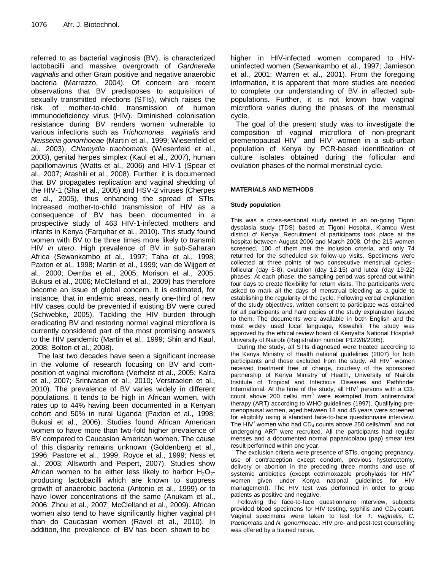referred to as bacterial vaginosis (BV), is characterized lactobacilli and massive overgrowth of *Gardnerella vaginalis* and other Gram positive and negative anaerobic bacteria (Marrazzo, 2004). Of concern are recent observations that BV predisposes to acquisition of sexually transmitted infections (STIs), which raises the risk of mother-to-child transmission of human immunodeficiency virus (HIV). Diminished colonisation resistance during BV renders women vulnerable to various infections such as *Trichomonas vaginalis* and *Neisseria gonorrhoeae* (Martin et al., 1999; Wiesenfeld et al., 2003), *Chlamydia trachomatis* (Wiesenfeld et al., 2003), genital herpes simplex (Kaul et al., 2007), human papillomavirus (Watts et al., 2006) and HIV-1 (Spear et al., 2007; Atashili et al., 2008). Further, it is documented that BV propagates replication and vaginal shedding of the HIV-1 (Sha et al., 2005) and HSV-2 viruses (Cherpes et al., 2005), thus enhancing the spread of STIs. Increased mother-to-child transmission of HIV as a consequence of BV has been documented in a prospective study of 463 HIV-1-infected mothers and infants in Kenya (Farquhar et al., 2010). This study found women with BV to be three times more likely to transmit HIV *in utero*. High prevalence of BV in sub-Saharan Africa (Sewankambo et al., 1997; Taha et al., 1998; Paxton et al., 1998; Martin et al., 1999; van de Wijgert et al., 2000; Demba et al., 2005; Morison et al., 2005; Bukusi et al., 2006; McClelland et al., 2009) has therefore become an issue of global concern. It is estimated, for instance, that in endemic areas, nearly one-third of new HIV cases could be prevented if existing BV were cured (Schwebke, 2005). Tackling the HIV burden through eradicating BV and restoring normal vaginal microflora is currently considered part of the most promising answers to the HIV pandemic (Martin et al., 1999; Shin and Kaul, 2008; Bolton et al., 2008).

The last two decades have seen a significant increase in the volume of research focusing on BV and composition of vaginal microflora (Verhelst et al., 2005; Kalra et al., 2007; Srinivasan et al., 2010; Verstraelen et al., 2010). The prevalence of BV varies widely in different populations. It tends to be high in African women, with rates up to 44% having been documented in a Kenyan cohort and 50% in rural Uganda (Paxton et al., 1998; Bukusi et al., 2006). Studies found African American women to have more than two-fold higher prevalence of BV compared to Caucasian American women. The cause of this disparity remains unknown (Goldenberg et al., 1996; Pastore et al., 1999; Royce et al., 1999; Ness et al., 2003; Allsworth and Peipert, 2007). Studies show African women to be either less likely to harbor  $H_2O_2$ producing lactobacilli which are known to suppress growth of anaerobic bacteria (Antonio et al., 1999) or to have lower concentrations of the same (Anukam et al., 2006; Zhou et al., 2007; McClelland et al., 2009). African women also tend to have significantly higher vaginal pH than do Caucasian women (Ravel et al., 2010). In addition, the prevalence of BV has been shown to be

higher in HIV-infected women compared to HIVuninfected women (Sewankambo et al., 1997; Jamieson et al., 2001; Warren et al., 2001). From the foregoing information, it is apparent that more studies are needed to complete our understanding of BV in affected subpopulations. Further, it is not known how vaginal microflora varies during the phases of the menstrual cycle.

The goal of the present study was to investigate the composition of vaginal microflora of non-pregnant premenopausal HIV<sup>+</sup> and HIV women in a sub-urban population of Kenya by PCR-based identification of culture isolates obtained during the follicular and ovulation phases of the normal menstrual cycle.

# **MATERIALS AND METHODS**

### **Study population**

This was a cross-sectional study nested in an on-going Tigoni dysplasia study (TDS) based at Tigoni Hospital, Kiambu West district of Kenya. Recruitment of participants took place at the hospital between August 2006 and March 2008. Of the 215 women screened, 100 of them met the inclusion criteria, and only 74 returned for the scheduled six follow-up visits. Specimens were collected at three points of two consecutive menstrual cycles– follicular (day 5-8), ovulation (day 12-15) and luteal (day 19-22) phases. At each phase, the sampling period was spread out within four days to create flexibility for return visits. The participants were asked to mark all the days of menstrual bleeding as a guide to establishing the regularity of the cycle. Following verbal explanation of the study objectives, written consent to participate was obtained for all participants and hard copies of the study explanation issued to them. The documents were available in both English and the most widely used local language, Kiswahili. The study was approved by the ethical review board of Kenyatta National Hospital/ University of Nairobi (Registration number P122/8/2005).

During the study, all STIs diagnosed were treated according to the Kenya Ministry of Health national guidelines (2007) for both participants and those excluded from the study. All  $HIV<sup>+</sup>$  women received treatment free of charge, courtesy of the sponsored partnership of Kenya Ministry of Health, University of Nairobi Institute of Tropical and Infectious Diseases and Pathfinder International. At the time of the study, all  $HIV<sup>+</sup>$  persons with a  $CD<sub>4</sub>$ count above 200 cells/  $mm<sup>3</sup>$  were exempted from antiretroviral therapy (ART) according to WHO guidelines (1997). Qualifying premenopausal women, aged between 18 and 45 years were screened for eligibility using a standard face-to-face questionnaire interview. The HIV<sup>+</sup> women who had CD<sub>4</sub> counts above 250 cells/mm<sup>3</sup> and not undergoing ART were recruited. All the participants had regular menses and a documented normal papanicolaou (pap) smear test result performed within one year.

The exclusion criteria were presence of STIs, ongoing pregnancy, use of contraception except condom, previous hysterectomy, delivery or abortion in the preceding three months and use of systemic antibiotics (except cotrimoxazole prophylaxis for HIV<sup>+</sup> women given under Kenya national guidelines for HIV management). The HIV test was performed in order to group patients as positive and negative.

Following the face-to-face questionnaire interview, subjects provided blood specimens for HIV testing, syphilis and  $CD<sub>4</sub>$  count. Vaginal specimens were taken to test for *T. vaginalis, C. trachomatis* and *N. gonorrhoeae*. HIV pre- and post-test counselling was offered by a trained nurse.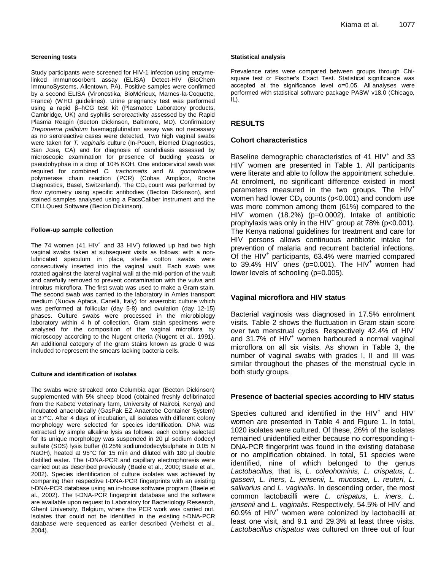#### **Screening tests**

Study participants were screened for HIV-1 infection using enzymelinked immunosorbent assay (ELISA) Detect-HIV (BioChem ImmunoSystems, Allentown, PA). Positive samples were confirmed by a second ELISA (Vironostika, BioMérieux, Marnes-la-Coquette, France) (WHO guidelines). Urine pregnancy test was performed using a rapid β–hCG test kit (Plasmatec Laboratory products, Cambridge, UK) and syphilis seroreactivity assessed by the Rapid Plasma Reagin (Becton Dickinson, Baltimore, MD). Confirmatory *Treponema pallidum* haemagglutination assay was not necessary as no seroreactive cases were detected. Two high vaginal swabs were taken for *T. vaginalis* culture (In-Pouch, Biomed Diagnostics, San Jose, CA) and for diagnosis of candidiasis assessed by microscopic examination for presence of budding yeasts or pseudohyphae in a drop of 10% KOH. One endocervical swab was required for combined *C. trachomatis* and *N. gonorrhoeae* polymerase chain reaction (PCR) (Cobas Amplicor, Roche Diagnostics, Basel, Switzerland). The CD<sub>4</sub> count was performed by flow cytometry using specific antibodies (Becton Dickinson), and stained samples analysed using a FacsCaliber instrument and the CELLQuest Software (Becton Dickinson).

#### **Follow-up sample collection**

The 74 women  $(41 \text{ HIV}^+$  and 33  $\text{HIV}^+$ ) followed up had two high vaginal swabs taken at subsequent visits as follows: with a nonlubricated speculum in place, sterile cotton swabs were consecutively inserted into the vaginal vault. Each swab was rotated against the lateral vaginal wall at the mid-portion of the vault and carefully removed to prevent contamination with the vulva and introitus microflora. The first swab was used to make a Gram stain. The second swab was carried to the laboratory in Amies transport medium (Nuova Aptaca, Canelli, Italy) for anaerobic culture which was performed at follicular (day 5-8) and ovulation (day 12-15) phases. Culture swabs were processed in the microbiology laboratory within 4 h of collection. Gram stain specimens were analysed for the composition of the vaginal microflora by microscopy according to the Nugent criteria (Nugent et al., 1991). An additional category of the gram stains known as grade 0 was included to represent the smears lacking bacteria cells.

#### **Culture and identification of isolates**

The swabs were streaked onto Columbia agar (Becton Dickinson) supplemented with 5% sheep blood (obtained freshly defibrinated from the Kabete Veterinary farm, University of Nairobi, Kenya) and incubated anaerobically (GasPak EZ Anaerobe Container System) at 37°C. After 4 days of incubation, all isolates with different colony morphology were selected for species identification. DNA was extracted by simple alkaline lysis as follows: each colony selected for its unique morphology was suspended in 20 µl sodium dodecyl sulfate (SDS) lysis buffer (0.25% sodiumdodecylsulphate in 0.05 N NaOH), heated at 95°C for 15 min and diluted with 180 µl double distilled water. The t-DNA-PCR and capillary electrophoresis were carried out as described previously (Baele et al., 2000; Baele et al., 2002). Species identification of culture isolates was achieved by comparing their respective t-DNA-PCR fingerprints with an existing t-DNA-PCR database using an in-house software program (Baele et al., 2002). The t-DNA-PCR fingerprint database and the software are available upon request to Laboratory for Bacteriology Research, Ghent University, Belgium, where the PCR work was carried out. Isolates that could not be identified in the existing t-DNA-PCR database were sequenced as earlier described (Verhelst et al., 2004).

#### **Statistical analysis**

Prevalence rates were compared between groups through Chisquare test or Fischer's Exact Test. Statistical significance was accepted at the significance level α=0.05. All analyses were performed with statistical software package PASW v18.0 (Chicago,  $IL$ ).

# **RESULTS**

#### **Cohort characteristics**

Baseline demographic characteristics of 41  $HIV<sup>+</sup>$  and 33 HIV<sup>-</sup> women are presented in Table 1. All participants were literate and able to follow the appointment schedule. At enrolment, no significant difference existed in most parameters measured in the two groups. The HIV<sup>+</sup> women had lower  $CD_4$  counts ( $p<0.001$ ) and condom use was more common among them (61%) compared to the  $HIV$  women (18.2%) (p=0.0002). Intake of antibiotic prophylaxis was only in the HIV<sup>+</sup> group at 78% (p<0.001). The Kenya national guidelines for treatment and care for HIV persons allows continuous antibiotic intake for prevention of malaria and recurrent bacterial infections. Of the HIV<sup>+</sup> participants, 63.4% were married compared to 39.4% HIV ones (p=0.001). The HIV<sup>+</sup> women had lower levels of schooling (p=0.005).

### **Vaginal microflora and HIV status**

Bacterial vaginosis was diagnosed in 17.5% enrolment visits. Table 2 shows the fluctuation in Gram stain score over two menstrual cycles. Respectively 42.4% of HIVand 31.7% of  $HIV<sup>+</sup>$  women harboured a normal vaginal microflora on all six visits. As shown in Table 3, the number of vaginal swabs with grades I, II and III was similar throughout the phases of the menstrual cycle in both study groups.

### **Presence of bacterial species according to HIV status**

Species cultured and identified in the  $HIV<sup>+</sup>$  and  $HIV$ women are presented in Table 4 and Figure 1. In total, 1020 isolates were cultured. Of these, 26% of the isolates remained unidentified either because no corresponding t-DNA-PCR fingerprint was found in the existing database or no amplification obtained. In total, 51 species were identified, nine of which belonged to the genus *Lactobacillus,* that is, *L. coleohominis, L. crispatus, L. gasseri, L. iners, L. jensenii, L. mucosae, L. reuteri, L. salivarius* and *L. vaginalis*. In descending order, the most common lactobacilli were *L. crispatus*, *L. iners*, *L.*  jensenii and L. vaginalis. Respectively, 54.5% of HIV and  $60.9\%$  of HIV<sup>+</sup> women were colonized by lactobacilli at least one visit, and 9.1 and 29.3% at least three visits. *Lactobacillus crispatus* was cultured on three out of four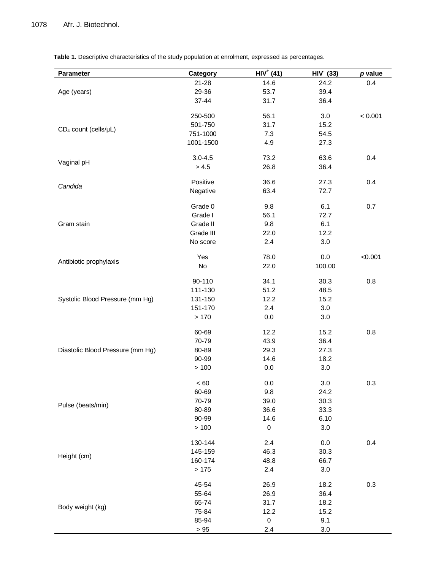**Table 1.** Descriptive characteristics of the study population at enrolment, expressed as percentages.

| Parameter                        | Category    | $HIV+ (41)$ | <b>HIV (33)</b> | p value |
|----------------------------------|-------------|-------------|-----------------|---------|
|                                  | $21 - 28$   | 14.6        | 24.2            | 0.4     |
| Age (years)                      | 29-36       | 53.7        | 39.4            |         |
|                                  | 37-44       | 31.7        | 36.4            |         |
|                                  | 250-500     | 56.1        | 3.0             | < 0.001 |
|                                  | 501-750     | 31.7        | 15.2            |         |
| $CD_4$ count (cells/ $\mu$ L)    | 751-1000    | 7.3         | 54.5            |         |
|                                  | 1001-1500   | 4.9         | 27.3            |         |
|                                  | $3.0 - 4.5$ | 73.2        | 63.6            | 0.4     |
| Vaginal pH                       | > 4.5       | 26.8        | 36.4            |         |
|                                  | Positive    | 36.6        | 27.3            | 0.4     |
| Candida                          | Negative    | 63.4        | 72.7            |         |
|                                  | Grade 0     | 9.8         | 6.1             | 0.7     |
|                                  | Grade I     | 56.1        | 72.7            |         |
| Gram stain                       | Grade II    | 9.8         | 6.1             |         |
|                                  | Grade III   | 22.0        | 12.2            |         |
|                                  | No score    | 2.4         | 3.0             |         |
|                                  | Yes         | 78.0        | 0.0             | < 0.001 |
| Antibiotic prophylaxis           | No          | 22.0        | 100.00          |         |
|                                  | 90-110      | 34.1        | 30.3            | 0.8     |
|                                  | 111-130     | 51.2        | 48.5            |         |
| Systolic Blood Pressure (mm Hg)  | 131-150     | 12.2        | 15.2            |         |
|                                  | 151-170     | 2.4         | 3.0             |         |
|                                  | >170        | 0.0         | 3.0             |         |
|                                  | 60-69       | 12.2        | 15.2            | 0.8     |
|                                  | 70-79       | 43.9        | 36.4            |         |
| Diastolic Blood Pressure (mm Hg) | 80-89       | 29.3        | 27.3            |         |
|                                  | 90-99       | 14.6        | 18.2            |         |
|                                  | > 100       | 0.0         | 3.0             |         |
|                                  | $< 60$      | 0.0         | 3.0             | 0.3     |
|                                  | 60-69       | 9.8         | 24.2            |         |
|                                  | 70-79       | 39.0        | 30.3            |         |
| Pulse (beats/min)                | 80-89       | 36.6        | 33.3            |         |
|                                  | 90-99       | 14.6        | 6.10            |         |
|                                  | > 100       | $\pmb{0}$   | 3.0             |         |
|                                  | 130-144     | 2.4         | $0.0\,$         | 0.4     |
|                                  | 145-159     | 46.3        | 30.3            |         |
| Height (cm)                      | 160-174     | 48.8        | 66.7            |         |
|                                  | >175        | 2.4         | 3.0             |         |
|                                  | 45-54       | 26.9        | 18.2            | 0.3     |
|                                  | 55-64       | 26.9        | 36.4            |         |
| Body weight (kg)                 | 65-74       | 31.7        | 18.2            |         |
|                                  | 75-84       | 12.2        | 15.2            |         |
|                                  | 85-94       | $\pmb{0}$   | 9.1             |         |
|                                  | $>95$       | 2.4         | 3.0             |         |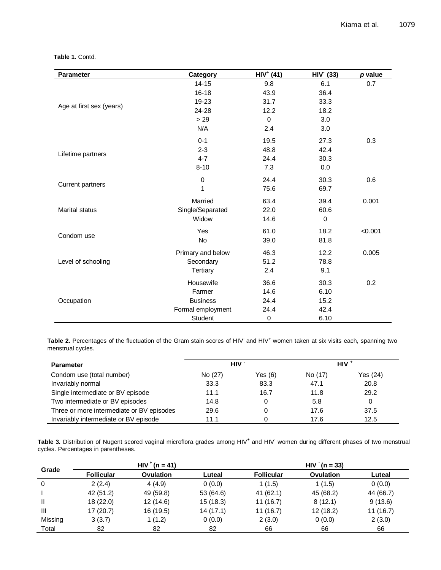### **Table 1.** Contd.

| <b>Parameter</b>         | Category          | $HIV+ (41)$ | HIV (33)    | p value |
|--------------------------|-------------------|-------------|-------------|---------|
|                          | $14 - 15$         | 9.8         | 6.1         | 0.7     |
|                          | $16 - 18$         | 43.9        | 36.4        |         |
|                          | 19-23             | 31.7        | 33.3        |         |
| Age at first sex (years) | 24-28             | 12.2        | 18.2        |         |
|                          | > 29              | $\mathbf 0$ | 3.0         |         |
|                          | N/A               | 2.4         | 3.0         |         |
|                          | $0 - 1$           | 19.5        | 27.3        | 0.3     |
|                          | $2 - 3$           | 48.8        | 42.4        |         |
| Lifetime partners        | $4 - 7$           | 24.4        | 30.3        |         |
|                          | $8 - 10$          | 7.3         | 0.0         |         |
|                          | $\pmb{0}$         | 24.4        | 30.3        | 0.6     |
| <b>Current partners</b>  | 1                 | 75.6        | 69.7        |         |
|                          | Married           | 63.4        | 39.4        | 0.001   |
| <b>Marital status</b>    | Single/Separated  | 22.0        | 60.6        |         |
|                          | Widow             | 14.6        | $\mathbf 0$ |         |
|                          | Yes               | 61.0        | 18.2        | < 0.001 |
| Condom use               | No                | 39.0        | 81.8        |         |
|                          | Primary and below | 46.3        | 12.2        | 0.005   |
| Level of schooling       | Secondary         | 51.2        | 78.8        |         |
|                          | <b>Tertiary</b>   | 2.4         | 9.1         |         |
|                          | Housewife         | 36.6        | 30.3        | 0.2     |
|                          | Farmer            | 14.6        | 6.10        |         |
| Occupation               | <b>Business</b>   | 24.4        | 15.2        |         |
|                          | Formal employment | 24.4        | 42.4        |         |
|                          | Student           | $\pmb{0}$   | 6.10        |         |

Table 2. Percentages of the fluctuation of the Gram stain scores of HIV<sup>-</sup> and HIV<sup>+</sup> women taken at six visits each, spanning two menstrual cycles.

| <b>Parameter</b>                          | HIV 1   |           |         | $HIV^+$  |
|-------------------------------------------|---------|-----------|---------|----------|
| Condom use (total number)                 | No (27) | Yes $(6)$ | No (17) | Yes (24) |
| Invariably normal                         | 33.3    | 83.3      | 47.1    | 20.8     |
| Single intermediate or BV episode         | 11.1    | 16.7      | 11.8    | 29.2     |
| Two intermediate or BV episodes           | 14.8    | 0         | 5.8     |          |
| Three or more intermediate or BV episodes | 29.6    | 0         | 17.6    | 37.5     |
| Invariably intermediate or BV episode     | 11.1    |           | 17.6    | 12.5     |

Table 3. Distribution of Nugent scored vaginal microflora grades among HIV<sup>+</sup> and HIV<sup>-</sup> women during different phases of two menstrual cycles. Percentages in parentheses.

|         |                   | $HIV^{+}(n = 41)$ |           | $HIV (n = 33)$    |           |           |  |
|---------|-------------------|-------------------|-----------|-------------------|-----------|-----------|--|
| Grade   | <b>Follicular</b> | Ovulation         | Luteal    | <b>Follicular</b> | Ovulation | Luteal    |  |
| 0       | 2(2.4)            | 4(4.9)            | 0(0.0)    | 1(1.5)            | 1(1.5)    | 0(0.0)    |  |
|         | 42 (51.2)         | 49 (59.8)         | 53 (64.6) | 41(62.1)          | 45 (68.2) | 44 (66.7) |  |
|         | 18(22.0)          | 12(14.6)          | 15(18.3)  | 11(16.7)          | 8(12.1)   | 9(13.6)   |  |
| Ш       | 17(20.7)          | 16 (19.5)         | 14(17.1)  | 11(16.7)          | 12(18.2)  | 11(16.7)  |  |
| Missing | 3(3.7)            | 1 (1.2)           | 0(0.0)    | 2(3.0)            | 0(0.0)    | 2(3.0)    |  |
| Total   | 82                | 82                | 82        | 66                | 66        | 66        |  |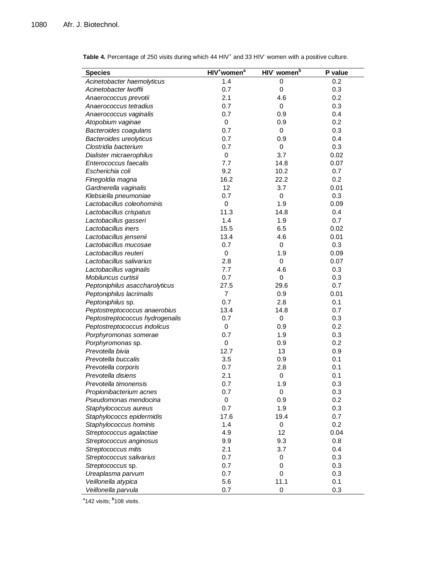| <b>Species</b>                  | HIV <sup>+</sup> women <sup>a</sup> | HIV women <sup>b</sup> | P value |
|---------------------------------|-------------------------------------|------------------------|---------|
| Acinetobacter haemolyticus      | 1.4                                 | 0                      | 0.2     |
| Acinetobacter Iwoffii           | 0.7                                 | $\mathbf 0$            | 0.3     |
| Anaerococcus prevotii           | 2.1                                 | 4.6                    | 0.2     |
| Anaerococcus tetradius          | 0.7                                 | 0                      | 0.3     |
| Anaerococcus vaginalis          | 0.7                                 | 0.9                    | 0.4     |
| Atopobium vaginae               | 0                                   | 0.9                    | 0.2     |
| Bacteroides coagulans           | 0.7                                 | 0                      | 0.3     |
| Bacteroides ureolyticus         | 0.7                                 | 0.9                    | 0.4     |
| Clostridia bacterium            | 0.7                                 | 0                      | 0.3     |
| Dialister micraerophilus        | $\mathbf 0$                         | 3.7                    | 0.02    |
| Enterococcus faecalis           | 7.7                                 | 14.8                   | 0.07    |
| Escherichia coli                | 9.2                                 | 10.2                   | 0.7     |
| Finegoldia magna                | 16.2                                | 22.2                   | 0.2     |
| Gardnerella vaginalis           | 12                                  | 3.7                    | 0.01    |
| Klebsiella pneumoniae           | 0.7                                 | 0                      | 0.3     |
| Lactobacillus coleohominis      | $\mathbf 0$                         | 1.9                    | 0.09    |
| Lactobacillus crispatus         | 11.3                                | 14.8                   | 0.4     |
| Lactobacillus gasseri           | 1.4                                 | 1.9                    | 0.7     |
| Lactobacillus iners             | 15.5                                | 6.5                    | 0.02    |
| Lactobacillus jensenii          | 13.4                                | 4.6                    | 0.01    |
| Lactobacillus mucosae           | 0.7                                 | $\pmb{0}$              | 0.3     |
| Lactobacillus reuteri           | $\pmb{0}$                           | 1.9                    | 0.09    |
| Lactobacillus salivarius        | 2.8                                 | 0                      | 0.07    |
| Lactobacillus vaginalis         | 7.7                                 | 4.6                    | 0.3     |
| Mobiluncus curtisii             | 0.7                                 | 0                      | 0.3     |
| Peptoniphilus asaccharolyticus  | 27.5                                | 29.6                   | 0.7     |
| Peptoniphilus lacrimalis        | $\overline{7}$                      | 0.9                    | 0.01    |
| Peptoniphilus sp.               | 0.7                                 | 2.8                    | 0.1     |
| Peptostreptococcus anaerobius   | 13.4                                | 14.8                   | 0.7     |
| Peptostreptococcus hydrogenalis | 0.7                                 | 0                      | 0.3     |
| Peptostreptococcus indolicus    | $\mathbf 0$                         | 0.9                    | 0.2     |
| Porphyromonas somerae           | 0.7                                 | 1.9                    | 0.3     |
| Porphyromonas sp.               | 0                                   | 0.9                    | 0.2     |
| Prevotella bivia                | 12.7                                | 13                     | 0.9     |
| Prevotella buccalis             | 3.5                                 | 0.9                    | 0.1     |
| Prevotella corporis             | 0.7                                 | 2.8                    | 0.1     |
| Prevotella disiens              | 2.1                                 | 0                      | 0.1     |
| Prevotella timonensis           | 0.7                                 | 1.9                    | 0.3     |
| Propionibacterium acnes         | 0.7                                 | 0                      | 0.3     |
| Pseudomonas mendocina           | 0                                   | 0.9                    | 0.2     |
| Staphylococcus aureus           | 0.7                                 | 1.9                    | 0.3     |
| Staphylococcs epidermidis       | 17.6                                | 19.4                   | 0.7     |
| Staphylococcus hominis          | 1.4                                 | 0                      | 0.2     |
| Streptococcus agalactiae        | 4.9                                 | 12                     | 0.04    |
| Streptococcus anginosus         | 9.9                                 | 9.3                    | 0.8     |
| Streptococcus mitis             | 2.1                                 | 3.7                    | 0.4     |
| Streptococcus salivarius        | 0.7                                 | 0                      | 0.3     |
| Streptococcus sp.               | 0.7                                 | 0                      | 0.3     |
| Ureaplasma parvum               | 0.7                                 | 0                      | 0.3     |
| Veillonella atypica             | 5.6                                 | 11.1                   | 0.1     |
| Veillonella parvula             | 0.7                                 | $\mathbf 0$            | 0.3     |

Table 4. Percentage of 250 visits during which 44 HIV<sup>+</sup> and 33 HIV<sup>-</sup> women with a positive culture.

<sup>a</sup>142 visits; <sup>b</sup>108 visits.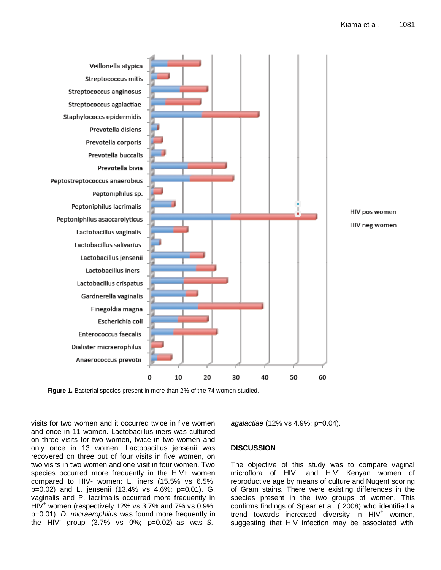

**Figure 1.** Bacterial species present in more than 2% of the 74 women studied.

visits for two women and it occurred twice in five women and once in 11 women. Lactobacillus iners was cultured on three visits for two women, twice in two women and only once in 13 women. Lactobacillus jensenii was recovered on three out of four visits in five women, on two visits in two women and one visit in four women. Two species occurred more frequently in the HIV+ women compared to HIV- women: L. iners (15.5% vs 6.5%; p=0.02) and L. jensenii (13.4% vs 4.6%; p=0.01). G. vaginalis and P. lacrimalis occurred more frequently in  $HIV<sup>+</sup>$  women (respectively 12% vs 3.7% and 7% vs 0.9%; p=0.01). *D. micraerophilus* was found more frequently in the HIV- group (3.7% vs 0%; p=0.02) as was *S.*

*agalactiae* (12% vs 4.9%; p=0.04).

# **DISCUSSION**

The objective of this study was to compare vaginal microflora of HIV<sup>+</sup> and HIV<sup>-</sup> Kenyan women of reproductive age by means of culture and Nugent scoring of Gram stains. There were existing differences in the species present in the two groups of women. This confirms findings of Spear et al. ( 2008) who identified a trend towards increased diversity in  $HIV<sup>+</sup>$  women, suggesting that HIV infection may be associated with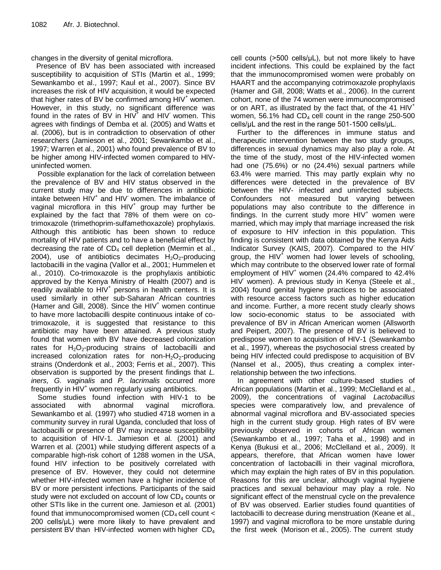changes in the diversity of genital microflora.

Presence of BV has been associated with increased susceptibility to acquisition of STIs (Martin et al., 1999; Sewankambo et al., 1997; Kaul et al., 2007). Since BV increases the risk of HIV acquisition, it would be expected that higher rates of BV be confirmed among  $HIV<sup>+</sup>$  women. However, in this study, no significant difference was found in the rates of BV in  $HIV^+$  and  $HIV^-$  women. This agrees with findings of Demba et al. (2005) and Watts et al. (2006), but is in contradiction to observation of other researchers (Jamieson et al., 2001; Sewankambo et al., 1997; Warren et al., 2001) who found prevalence of BV to be higher among HIV-infected women compared to HIVuninfected women.

Possible explanation for the lack of correlation between the prevalence of BV and HIV status observed in the current study may be due to differences in antibiotic intake between HIV<sup>+</sup> and HIV<sup>-</sup> women. The imbalance of vaginal microflora in this  $HIV<sup>+</sup>$  group may further be explained by the fact that 78% of them were on cotrimoxazole (trimethoprim-sulfamethoxazole) prophylaxis. Although this antibiotic has been shown to reduce mortality of HIV patients and to have a beneficial effect by decreasing the rate of  $CD<sub>4</sub>$  cell depletion (Mermin et al., 2004), use of antibiotics decimates  $H_2O_2$ -producing lactobacilli in the vagina (Vallor et al., 2001; Hummelen et al., 2010). Co-trimoxazole is the prophylaxis antibiotic approved by the Kenya Ministry of Health (2007) and is readily available to HIV<sup>+</sup> persons in health centers. It is used similarly in other sub-Saharan African countries (Hamer and Gill, 2008). Since the  $HIV<sup>+</sup>$  women continue to have more lactobacilli despite continuous intake of cotrimoxazole, it is suggested that resistance to this antibiotic may have been attained. A previous study found that women with BV have decreased colonization rates for  $H_2O_2$ -producing strains of lactobacilli and increased colonization rates for non- $H_2O_2$ -producing strains (Onderdonk et al., 2003; Ferris et al., 2007). This observation is supported by the present findings that *L. iners, G. vaginalis* and *P. lacrimalis* occurred more frequently in  $HIV<sup>+</sup>$  women regularly using antibiotics.

Some studies found infection with HIV-1 to be associated with abnormal vaginal microflora. Sewankambo et al*.* (1997) who studied 4718 women in a community survey in rural Uganda, concluded that loss of lactobacilli or presence of BV may increase susceptibility to acquisition of HIV-1. Jamieson et al*.* (2001) and Warren et al*.* (2001) while studying different aspects of a comparable high-risk cohort of 1288 women in the USA, found HIV infection to be positively correlated with presence of BV. However, they could not determine whether HIV-infected women have a higher incidence of BV or more persistent infections. Participants of the said study were not excluded on account of low  $CD<sub>4</sub>$  counts or other STIs like in the current one. Jamieson et al*.* (2001) found that immunocompromised women (CD<sub>4</sub> cell count  $\lt$ 200 cells/μL) were more likely to have prevalent and persistent BV than HIV-infected women with higher  $CD<sub>4</sub>$  cell counts (>500 cells/μL), but not more likely to have incident infections. This could be explained by the fact that the immunocompromised women were probably on HAART and the accompanying cotrimoxazole prophylaxis (Hamer and Gill, 2008; Watts et al., 2006). In the current cohort, none of the 74 women were immunocompromised or on ART, as illustrated by the fact that, of the 41  $HIV<sup>+</sup>$ women,  $56.1\%$  had  $CD<sub>4</sub>$  cell count in the range 250-500 cells/μL and the rest in the range 501-1500 cells/μL.

Further to the differences in immune status and therapeutic intervention between the two study groups, differences in sexual dynamics may also play a role. At the time of the study, most of the HIV-infected women had one (75.6%) or no (24.4%) sexual partners while 63.4% were married. This may partly explain why no differences were detected in the prevalence of BV between the HIV- infected and uninfected subjects. Confounders not measured but varying between populations may also contribute to the difference in findings. In the current study more  $HIV<sup>+</sup>$  women were married, which may imply that marriage increased the risk of exposure to HIV infection in this population. This finding is consistent with data obtained by the Kenya Aids Indicator Survey (KAIS, 2007). Compared to the HIVgroup, the  $HIV<sup>+</sup>$  women had lower levels of schooling, which may contribute to the observed lower rate of formal employment of  $HIV<sup>+</sup>$  women (24.4% compared to 42.4% HIV<sup>-</sup> women). A previous study in Kenya (Steele et al., 2004) found genital hygiene practices to be associated with resource access factors such as higher education and income. Further, a more recent study clearly shows low socio-economic status to be associated with prevalence of BV in African American women (Allsworth and Peipert, 2007). The presence of BV is believed to predispose women to acquisition of HIV-1 (Sewankambo et al., 1997), whereas the psychosocial stress created by being HIV infected could predispose to acquisition of BV (Nansel et al., 2005), thus creating a complex interrelationship between the two infections.

In agreement with other culture-based studies of African populations (Martin et al., 1999; McClelland et al., 2009), the concentrations of vaginal *Lactobacillus* species were comparatively low, and prevalence of abnormal vaginal microflora and BV-associated species high in the current study group. High rates of BV were previously observed in cohorts of African women (Sewankambo et al., 1997; Taha et al., 1998) and in Kenya (Bukusi et al., 2006; McClelland et al., 2009). It appears, therefore, that African women have lower concentration of lactobacilli in their vaginal microflora, which may explain the high rates of BV in this population. Reasons for this are unclear, although vaginal hygiene practices and sexual behaviour may play a role. No significant effect of the menstrual cycle on the prevalence of BV was observed. Earlier studies found quantities of lactobacilli to decrease during menstruation (Keane et al., 1997) and vaginal microflora to be more unstable during the first week (Morison et al., 2005). The current study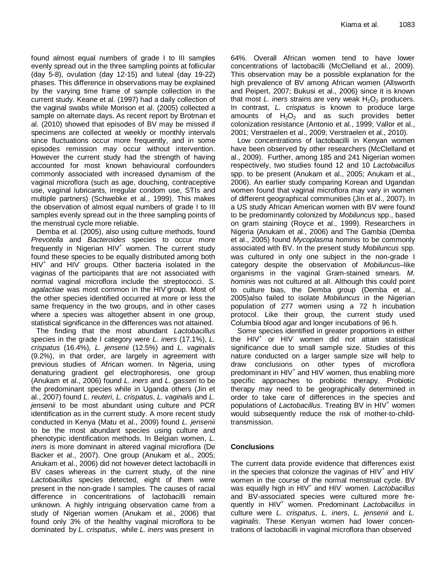found almost equal numbers of grade I to III samples evenly spread out in the three sampling points at follicular (day 5-8), ovulation (day 12-15) and luteal (day 19-22) phases. This difference in observations may be explained by the varying time frame of sample collection in the current study. Keane et al. (1997) had a daily collection of the vaginal swabs while Morison et al. (2005) collected a sample on alternate days. As recent report by Brotman et al. (2010) showed that episodes of BV may be missed if specimens are collected at weekly or monthly intervals since fluctuations occur more frequently, and in some episodes remission may occur without intervention. However the current study had the strength of having accounted for most known behavioural confounders commonly associated with increased dynamism of the vaginal microflora (such as age, douching, contraceptive use, vaginal lubricants, irregular condom use, STIs and multiple partners) (Schwebke et al., 1999). This makes the observation of almost equal numbers of grade I to III samples evenly spread out in the three sampling points of the menstrual cycle more reliable.

Demba et al*.* (2005), also using culture methods, found *Prevotella* and *Bacteroides* species to occur more frequently in Nigerian  $HIV<sup>+</sup>$  women. The current study found these species to be equally distributed among both HIV<sup>+</sup> and HIV<sup>-</sup> groups. Other bacteria isolated in the vaginas of the participants that are not associated with normal vaginal microflora include the streptococci. *S. agalactiae* was most common in the HIV-group. Most of the other species identified occurred at more or less the same frequency in the two groups, and in other cases where a species was altogether absent in one group, statistical significance in the differences was not attained.

The finding that the most abundant *Lactobacillus* species in the grade I category were *L. iners* (17.1%), *L. crispatus* (16.4%)*, L. jensenii* (12.5%) and *L. vaginalis* (9.2%), in that order, are largely in agreement with previous studies of African women. In Nigeria, using denaturing gradient gel electrophoresis, one group (Anukam et al., 2006) found *L. iners* and *L. gasseri* to be the predominant species while in Uganda others (Jin et al., 2007) found *L. reuteri*, *L. crispatus*, *L. vaginalis* and *L. jensenii* to be most abundant using culture and PCR identification as in the current study. A more recent study conducted in Kenya (Matu et al., 2009) found *L. jensenii* to be the most abundant species using culture and phenotypic identification methods. In Belgian women, *L. iners* is more dominant in altered vaginal microflora (De Backer et al., 2007). One group (Anukam et al., 2005; Anukam et al., 2006) did not however detect lactobacilli in BV cases whereas in the current study, of the nine *Lactobacillus* species detected, eight of them were present in the non-grade I samples. The causes of racial difference in concentrations of lactobacilli remain unknown. A highly intriguing observation came from a study of Nigerian women (Anukam et al., 2006) that found only 3% of the healthy vaginal microflora to be dominated by *L. crispatus*, while *L. iners* was present in

64%. Overall African women tend to have lower concentrations of lactobacilli (McClelland et al., 2009). This observation may be a possible explanation for the high prevalence of BV among African women (Allsworth and Peipert, 2007; Bukusi et al., 2006) since it is known that most  $L$ . iners strains are very weak  $H_2O_2$  producers. In contrast, *L. crispatus* is known to produce large amounts of  $H_2O_2$  and as such provides better colonization resistance (Antonio et al., 1999; Vallor et al., 2001; Verstraelen et al., 2009; Verstraelen et al., 2010).

Low concentrations of lactobacilli in Kenyan women have been observed by other researchers (McClelland et al., 2009). Further, among 185 and 241 Nigerian women respectively, two studies found 12 and 10 *Lactobacillus*  spp. to be present (Anukam et al., 2005; Anukam et al., 2006). An earlier study comparing Korean and Ugandan women found that vaginal microflora may vary in women of different geographical communities (Jin et al., 2007). In a US study African American women with BV were found to be predominantly colonized by *Mobiluncus* spp., based on gram staining (Royce et al., 1999). Researchers in Nigeria (Anukam et al., 2006) and The Gambia (Demba et al., 2005) found *Mycoplasma hominis* to be commonly associated with BV. In the present study *Mobiluncus* spp. was cultured in only one subject in the non-grade I category despite the observation of *Mobiluncus*–like organisms in the vaginal Gram-stained smears. *M. hominis* was not cultured at all. Although this could point to culture bias, the Demba group (Demba et al., 2005)also failed to isolate *Mobiluncus* in the Nigerian population of 277 women using a 72 h incubation protocol. Like their group, the current study used Columbia blood agar and longer incubations of 96 h.

Some species identified in greater proportions in either the HIV<sup>+</sup> or HIV women did not attain statistical significance due to small sample size. Studies of this nature conducted on a larger sample size will help to draw conclusions on other types of microflora predominant in HIV<sup>+</sup> and HIV<sup>-</sup> women, thus enabling more specific approaches to probiotic therapy. Probiotic therapy may need to be geographically determined in order to take care of differences in the species and populations of *Lactobacillus*. Treating BV in HIV<sup>+</sup> women would subsequently reduce the risk of mother-to-childtransmission.

# **Conclusions**

The current data provide evidence that differences exist in the species that colonize the vaginas of  $HIV<sup>+</sup>$  and  $HIV$ women in the course of the normal menstrual cycle. BV was equally high in HIV<sup>+</sup> and HIV- women. *Lactobacillus* and BV-associated species were cultured more frequently in HIV<sup>+</sup> women. Predominant *Lactobacillus* in culture were *L. crispatus*, *L. iners*, *L. jensenii* and *L. vaginalis*. These Kenyan women had lower concentrations of lactobacilli in vaginal microflora than observed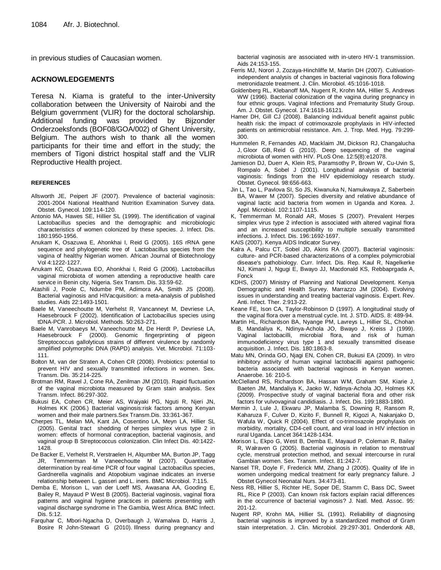in previous studies of Caucasian women.

#### **ACKNOWLEDGEMENTS**

Teresa N. Kiama is grateful to the inter-University collaboration between the University of Nairobi and the Belgium government (VLIR) for the doctoral scholarship. Additional funding was provided by Bijzonder Onderzoeksfonds (BOF08/GOA/002) of Ghent University, Belgium. The authors wish to thank all the women participants for their time and effort in the study; the members of Tigoni district hospital staff and the VLIR Reproductive Health project.

#### **REFERENCES**

- Allsworth JE, Peipert JF (2007). Prevalence of bacterial vaginosis: 2001-2004 National Healthand Nutrition Examination Survey data. Obstet. Gynecol. 109:114-120.
- Antonio MA, Hawes SE, Hillier SL (1999). The identification of vaginal Lactobacillus species and the demographic and microbiologic characteristics of women colonized by these species. J. Infect. Dis. 180:1950-1956.
- Anukam K, Osazuwa E, Ahonkhai I, Reid G (2005). 16S rRNA gene sequence and phylogenetic tree of Lactobacillus species from the vagina of healthy Nigerian women. African Journal of Biotechnology Vol 4:1222-1227.
- Anukam KC, Osazuwa EO, Ahonkhai I, Reid G (2006). Lactobacillus vaginal microbiota of women attending a reproductive health care service in Benin city, Nigeria. Sex Transm. Dis. 33:59-62.
- Atashili J, Poole C, Ndumbe PM, Adimora AA, Smith JS (2008). Bacterial vaginosis and HIVacquisition: a meta-analysis of published studies. Aids 22:1493-1501.
- Baele M, Vaneechoutte M, Verhelst R, Vancanneyt M, Devriese LA, Haesebrouck F (2002). Identification of Lactobacillus species using tDNA-PCR. J. Microbiol. Methods. 50:263-271.
- Baele M, Vanrobaeys M, Vaneechoutte M, De Herdt P, Devriese LA, Haesebrouck F (2000). Genomic fingerprinting of pigeon Streptococcus gallolyticus strains of different virulence by randomly amplified polymorphic DNA (RAPD) analysis. Vet. Microbiol. 71:103- 111.
- Bolton M, van der Straten A, Cohen CR (2008). Probiotics: potential to prevent HIV and sexually transmitted infections in women. Sex. Transm. Dis. 35:214-225.
- Brotman RM, Ravel J, Cone RA, Zenilman JM (2010). Rapid fluctuation of the vaginal microbiota measured by Gram stain analysis. Sex Transm. Infect. 86:297-302.
- Bukusi EA, Cohen CR, Meier AS, Waiyaki PG, Nguti R, Njeri JN, Holmes KK (2006.) Bacterial vaginosis:risk factors among Kenyan women and their male partners.Sex Transm.Dis. 33:361-367.
- Cherpes TL, Melan MA, Kant JA, Cosentino LA, Meyn LA, Hillier SL (2005). Genital tract shedding of herpes simplex virus type 2 in women: effects of hormonal contraception, bacterial vaginosis, and vaginal group B Streptococcus colonization. Clin Infect Dis. 40:1422- 1428.
- De Backer E, Verhelst R, Verstraelen H, Alqumber MA, Burton JP, Tagg JR, Temmerman M Vaneechoutte M (2007). Quantitative determination by real-time PCR of four vaginal Lactobacillus species, Gardnerella vaginalis and Atopobium vaginae indicates an inverse relationship between L. gasseri and L. iners. BMC Microbiol. 7:115.
- Demba E, Morison L, van der Loeff MS, Awasana AA, Gooding E, Bailey R, Mayaud P West B (2005). Bacterial vaginosis, vaginal flora patterns and vaginal hygiene practices in patients presenting with vaginal discharge syndrome in The Gambia, West Africa. BMC Infect. Dis. 5:12.
- Farquhar C, Mbori-Ngacha D, Overbaugh J, Wamalwa D, Harris J, Bosire R John-Stewart G (2010). Illness during pregnancy and

bacterial vaginosis are associated with in-utero HIV-1 transmission. Aids 24:153-155.

- Ferris MJ, Norori J, Zozaya-Hinchliffe M, Martin DH (2007). Cultivationindependent analysis of changes in bacterial vaginosis flora following metronidazole treatment. J. Clin. Microbiol. 45:1016-1018.
- Goldenberg RL, Klebanoff MA, Nugent R, Krohn MA, Hillier S, Andrews WW (1996). Bacterial colonization of the vagina during pregnancy in four ethnic groups. Vaginal Infections and Prematurity Study Group. Am. J. Obstet. Gynecol. 174:1618-16121.
- Hamer DH, Gill CJ (2008). Balancing individual benefit against public health risk: the impact of cotrimoxazole prophylaxis in HIV-infected patients on antimicrobial resistance. Am. J. Trop. Med. Hyg. 79:299- 300.
- [Hummelen R,](http://www.ncbi.nlm.nih.gov/pubmed?term=Hummelen%20R%5BAuthor%5D&cauthor=true&cauthor_uid=20711427) [Fernandes AD,](http://www.ncbi.nlm.nih.gov/pubmed?term=Fernandes%20AD%5BAuthor%5D&cauthor=true&cauthor_uid=20711427) [Macklaim JM,](http://www.ncbi.nlm.nih.gov/pubmed?term=Macklaim%20JM%5BAuthor%5D&cauthor=true&cauthor_uid=20711427) [Dickson RJ,](http://www.ncbi.nlm.nih.gov/pubmed?term=Dickson%20RJ%5BAuthor%5D&cauthor=true&cauthor_uid=20711427) [Changalucha](http://www.ncbi.nlm.nih.gov/pubmed?term=Changalucha%20J%5BAuthor%5D&cauthor=true&cauthor_uid=20711427)  [J,](http://www.ncbi.nlm.nih.gov/pubmed?term=Changalucha%20J%5BAuthor%5D&cauthor=true&cauthor_uid=20711427) [Gloor GB,](http://www.ncbi.nlm.nih.gov/pubmed?term=Gloor%20GB%5BAuthor%5D&cauthor=true&cauthor_uid=20711427) [Reid G](http://www.ncbi.nlm.nih.gov/pubmed?term=Reid%20G%5BAuthor%5D&cauthor=true&cauthor_uid=20711427) (2010). Deep sequencing of the vaginal microbiota of women with HIV[. PLoS One.](http://www.ncbi.nlm.nih.gov/pubmed/20711427) 12:5(8):e12078.
- Jamieson DJ, Duerr A, Klein RS, Paramsothy P, Brown W, Cu-Uvin S, Rompalo A, Sobel J (2001). Longitudinal analysis of bacterial vaginosis: findings from the HIV epidemiology research study. Obstet. Gynecol. 98:656-663.
- Jin L, Tao L, Pavlova SI, So JS, Kiwanuka N, Namukwaya Z, Saberbein BA, Wawer M (2007). Species diversity and relative abundance of vaginal lactic acid bacteria from women in Uganda and Korea. J. Appl. Microbiol. 102:1107-1115.
- K, Temmerman M, Ronald AR, Moses S (2007). Prevalent Herpes simplex virus type 2 infection is associated with altered vaginal flora and an increased susceptibility to multiple sexually transmitted infections. J. Infect. Dis. 196:1692-1697.
- KAIS (2007). Kenya AIDS Indicator Survey.
- Kalra A, Palcu CT, Sobel JD, Akins RA (2007). Bacterial vaginosis: culture- and PCR-based characterizations of a complex polymicrobial disease's pathobiology. Curr. Infect. Dis. Rep. Kaul R, Nagelkerke NJ, Kimani J, Ngugi E, Bwayo JJ, Macdonald KS, Rebbaprgada A, Fonck
- KDHS, (2007) Ministry of Planning and National Development. Kenya Demographic and Health Survey. Marrazzo JM (2004). Evolving issues in understanding and treating bacterial vaginosis. Expert. Rev. Anti. Infect. Ther. 2:913-22.
- Keane FE, Ison CA, Taylor-Robinson D (1997). A longitudinal study of the vaginal flora over a menstrual cycle. Int. J. STD. AIDS. 8: 489-94.
- Martin HL, Richardson BA, Nyange PM, Lavreys L, Hillier SL, Chohan B, Mandaliya K, Ndinya-Achola JO, Bwayo J, Kreiss J (1999). Vaginal lactobacilli, microbial flora, and risk of human immunodeficiency virus type 1 and sexually transmitted disease acquisition. J. Infect. Dis. 180:1863-8.
- Matu MN, Orinda GO, Njagi EN, Cohen CR, Bukusi EA (2009). In vitro inhibitory activity of human vaginal lactobacilli against pathogenic bacteria associated with bacterial vaginosis in Kenyan women. Anaerobe. 16: 210-5.
- McClelland RS, Richardson BA, Hassan WM, Graham SM, Kiarie J, Baeten JM, Mandaliya K, Jaoko W, Ndinya-Achola JO, Holmes KK (2009). Prospective study of vaginal bacterial flora and other risk factors for vulvovaginal candidiasis. J. Infect. Dis. 199:1883-1890.
- Mermin J, Lule J, Ekwaru JP, Malamba S, Downing R, Ransom R, Kaharuza F, Culver D, Kizito F, Bunnell R, Kigozi A, Nakanjako D, Wafula W, Quick R (2004). Effect of co-trimoxazole prophylaxis on morbidity, mortality, CD4-cell count, and viral load in HIV infection in rural Uganda. Lancet 364:1428-1434.
- Morison L, Ekpo G, West B, Demba E, Mayaud P, Coleman R, Bailey R, Walraven G (2005). Bacterial vaginosis in relation to menstrual cycle, menstrual protection method, and sexual intercourse in rural Gambian women. Sex. Transm. Infect. 81:242-7.
- Nansel TR, Doyle F, Frederick MM, Zhang J (2005). Quality of life in women undergoing medical treatment for early pregnancy failure. J Obstet Gynecol Neonatal Nurs. 34:473-81.
- Ness RB, Hillier S, Richter HE, Soper DE, Stamm C, Bass DC, Sweet RL, Rice P (2003). Can known risk factors explain racial differences in the occurrence of bacterial vaginosis? J. Natl. Med. Assoc. 95: 201-12.
- Nugent RP, Krohn MA, Hillier SL (1991). Reliability of diagnosing bacterial vaginosis is improved by a standardized method of Gram stain interpretation. J. Clin. Microbiol. 29:297-301. Onderdonk AB,